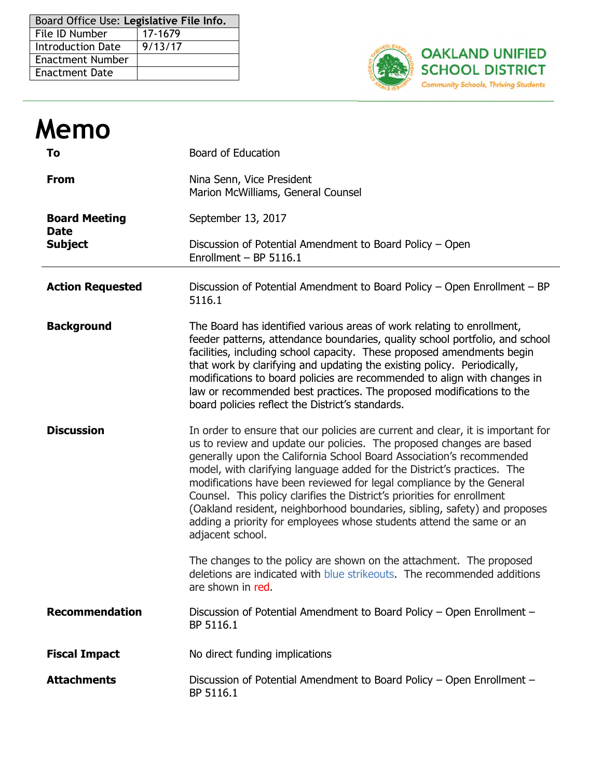| Board Office Use: Legislative File Info. |         |  |  |
|------------------------------------------|---------|--|--|
| l File ID Number                         | 17-1679 |  |  |
| <b>Introduction Date</b>                 | 9/13/17 |  |  |
| <b>Enactment Number</b>                  |         |  |  |
| <b>Enactment Date</b>                    |         |  |  |



| Memo                                |                                                                                                                                                                                                                                                                                                                                                                                                                                                                                                                                                                                                                                        |  |  |  |  |
|-------------------------------------|----------------------------------------------------------------------------------------------------------------------------------------------------------------------------------------------------------------------------------------------------------------------------------------------------------------------------------------------------------------------------------------------------------------------------------------------------------------------------------------------------------------------------------------------------------------------------------------------------------------------------------------|--|--|--|--|
| To                                  | <b>Board of Education</b>                                                                                                                                                                                                                                                                                                                                                                                                                                                                                                                                                                                                              |  |  |  |  |
| <b>From</b>                         | Nina Senn, Vice President<br>Marion McWilliams, General Counsel                                                                                                                                                                                                                                                                                                                                                                                                                                                                                                                                                                        |  |  |  |  |
| <b>Board Meeting</b><br><b>Date</b> | September 13, 2017                                                                                                                                                                                                                                                                                                                                                                                                                                                                                                                                                                                                                     |  |  |  |  |
| <b>Subject</b>                      | Discussion of Potential Amendment to Board Policy - Open<br>Enrollment $-$ BP 5116.1                                                                                                                                                                                                                                                                                                                                                                                                                                                                                                                                                   |  |  |  |  |
| <b>Action Requested</b>             | Discussion of Potential Amendment to Board Policy - Open Enrollment - BP<br>5116.1                                                                                                                                                                                                                                                                                                                                                                                                                                                                                                                                                     |  |  |  |  |
| <b>Background</b>                   | The Board has identified various areas of work relating to enrollment,<br>feeder patterns, attendance boundaries, quality school portfolio, and school<br>facilities, including school capacity. These proposed amendments begin<br>that work by clarifying and updating the existing policy. Periodically,<br>modifications to board policies are recommended to align with changes in<br>law or recommended best practices. The proposed modifications to the<br>board policies reflect the District's standards.                                                                                                                    |  |  |  |  |
| <b>Discussion</b>                   | In order to ensure that our policies are current and clear, it is important for<br>us to review and update our policies. The proposed changes are based<br>generally upon the California School Board Association's recommended<br>model, with clarifying language added for the District's practices. The<br>modifications have been reviewed for legal compliance by the General<br>Counsel. This policy clarifies the District's priorities for enrollment<br>(Oakland resident, neighborhood boundaries, sibling, safety) and proposes<br>adding a priority for employees whose students attend the same or an<br>adjacent school. |  |  |  |  |
|                                     | The changes to the policy are shown on the attachment. The proposed<br>deletions are indicated with blue strikeouts. The recommended additions<br>are shown in red.                                                                                                                                                                                                                                                                                                                                                                                                                                                                    |  |  |  |  |
| <b>Recommendation</b>               | Discussion of Potential Amendment to Board Policy - Open Enrollment -<br>BP 5116.1                                                                                                                                                                                                                                                                                                                                                                                                                                                                                                                                                     |  |  |  |  |
| <b>Fiscal Impact</b>                | No direct funding implications                                                                                                                                                                                                                                                                                                                                                                                                                                                                                                                                                                                                         |  |  |  |  |
| <b>Attachments</b>                  | Discussion of Potential Amendment to Board Policy - Open Enrollment -<br>BP 5116.1                                                                                                                                                                                                                                                                                                                                                                                                                                                                                                                                                     |  |  |  |  |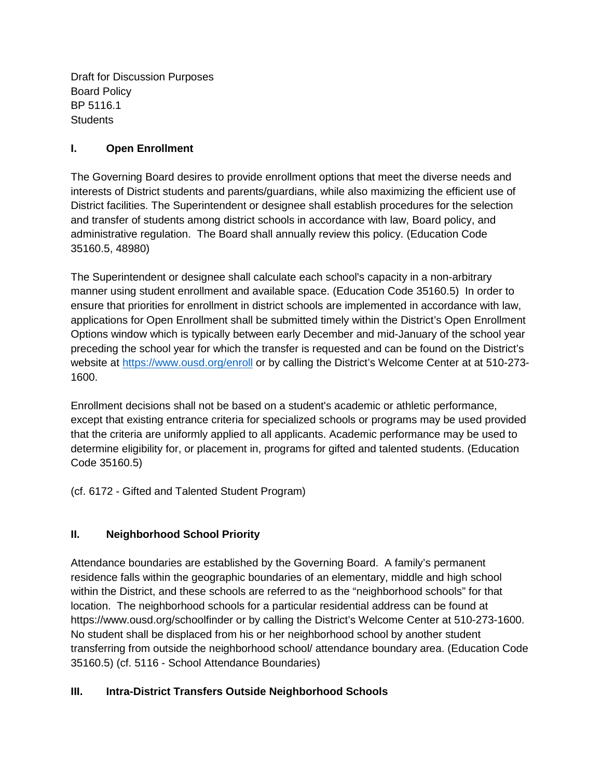Draft for Discussion Purposes Board Policy BP 5116.1 **Students** 

## **I. Open Enrollment**

The Governing Board desires to provide enrollment options that meet the diverse needs and interests of District students and parents/guardians, while also maximizing the efficient use of District facilities. The Superintendent or designee shall establish procedures for the selection and transfer of students among district schools in accordance with law, Board policy, and administrative regulation. The Board shall annually review this policy. (Education Code 35160.5, 48980)

The Superintendent or designee shall calculate each school's capacity in a non-arbitrary manner using student enrollment and available space. (Education Code 35160.5) In order to ensure that priorities for enrollment in district schools are implemented in accordance with law, applications for Open Enrollment shall be submitted timely within the District's Open Enrollment Options window which is typically between early December and mid-January of the school year preceding the school year for which the transfer is requested and can be found on the District's website at https://www.ousd.org/enroll or by calling the District's Welcome Center at at 510-273- 1600.

Enrollment decisions shall not be based on a student's academic or athletic performance, except that existing entrance criteria for specialized schools or programs may be used provided that the criteria are uniformly applied to all applicants. Academic performance may be used to determine eligibility for, or placement in, programs for gifted and talented students. (Education Code 35160.5)

(cf. 6172 - Gifted and Talented Student Program)

## **II. Neighborhood School Priority**

Attendance boundaries are established by the Governing Board. A family's permanent residence falls within the geographic boundaries of an elementary, middle and high school within the District, and these schools are referred to as the "neighborhood schools" for that location. The neighborhood schools for a particular residential address can be found at https://www.ousd.org/schoolfinder or by calling the District's Welcome Center at 510-273-1600. No student shall be displaced from his or her neighborhood school by another student transferring from outside the neighborhood school/ attendance boundary area. (Education Code 35160.5) (cf. 5116 - School Attendance Boundaries)

## **III. Intra-District Transfers Outside Neighborhood Schools**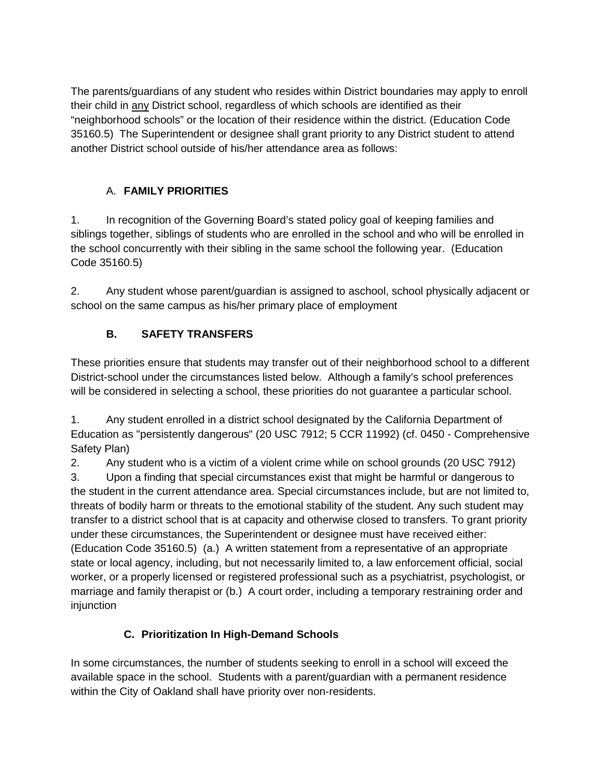The parents/guardians of any student who resides within District boundaries may apply to enroll their child in any District school, regardless of which schools are identified as their "neighborhood schools" or the location of their residence within the district. (Education Code 35160.5) The Superintendent or designee shall grant priority to any District student to attend another District school outside of his/her attendance area as follows:

# A. **FAMILY PRIORITIES**

1. In recognition of the Governing Board's stated policy goal of keeping families and siblings together, siblings of students who are enrolled in the school and who will be enrolled in the school concurrently with their sibling in the same school the following year. (Education Code 35160.5)

2. Any student whose parent/guardian is assigned to aschool, school physically adjacent or school on the same campus as his/her primary place of employment

# **B. SAFETY TRANSFERS**

These priorities ensure that students may transfer out of their neighborhood school to a different District-school under the circumstances listed below. Although a family's school preferences will be considered in selecting a school, these priorities do not guarantee a particular school.

1. Any student enrolled in a district school designated by the California Department of Education as "persistently dangerous" (20 USC 7912; 5 CCR 11992) (cf. 0450 - Comprehensive Safety Plan)

2. Any student who is a victim of a violent crime while on school grounds (20 USC 7912)

3. Upon a finding that special circumstances exist that might be harmful or dangerous to the student in the current attendance area. Special circumstances include, but are not limited to, threats of bodily harm or threats to the emotional stability of the student. Any such student may transfer to a district school that is at capacity and otherwise closed to transfers. To grant priority under these circumstances, the Superintendent or designee must have received either: (Education Code 35160.5) (a.) A written statement from a representative of an appropriate state or local agency, including, but not necessarily limited to, a law enforcement official, social worker, or a properly licensed or registered professional such as a psychiatrist, psychologist, or marriage and family therapist or (b.) A court order, including a temporary restraining order and injunction

# **C. Prioritization In High-Demand Schools**

In some circumstances, the number of students seeking to enroll in a school will exceed the available space in the school. Students with a parent/guardian with a permanent residence within the City of Oakland shall have priority over non-residents.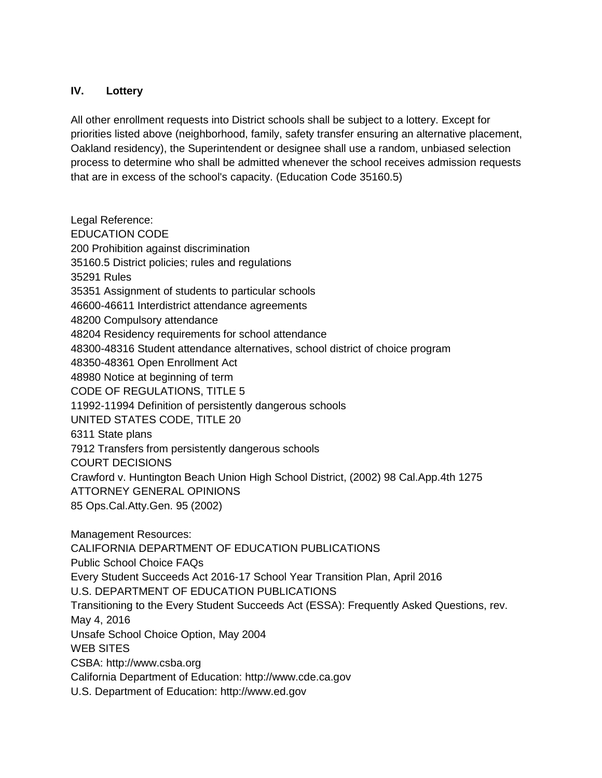### **IV. Lottery**

All other enrollment requests into District schools shall be subject to a lottery. Except for priorities listed above (neighborhood, family, safety transfer ensuring an alternative placement, Oakland residency), the Superintendent or designee shall use a random, unbiased selection process to determine who shall be admitted whenever the school receives admission requests that are in excess of the school's capacity. (Education Code 35160.5)

Legal Reference: EDUCATION CODE 200 Prohibition against discrimination 35160.5 District policies; rules and regulations 35291 Rules 35351 Assignment of students to particular schools 46600-46611 Interdistrict attendance agreements 48200 Compulsory attendance 48204 Residency requirements for school attendance 48300-48316 Student attendance alternatives, school district of choice program 48350-48361 Open Enrollment Act 48980 Notice at beginning of term CODE OF REGULATIONS, TITLE 5 11992-11994 Definition of persistently dangerous schools UNITED STATES CODE, TITLE 20 6311 State plans 7912 Transfers from persistently dangerous schools COURT DECISIONS Crawford v. Huntington Beach Union High School District, (2002) 98 Cal.App.4th 1275 ATTORNEY GENERAL OPINIONS 85 Ops.Cal.Atty.Gen. 95 (2002)

Management Resources: CALIFORNIA DEPARTMENT OF EDUCATION PUBLICATIONS Public School Choice FAQs Every Student Succeeds Act 2016-17 School Year Transition Plan, April 2016 U.S. DEPARTMENT OF EDUCATION PUBLICATIONS Transitioning to the Every Student Succeeds Act (ESSA): Frequently Asked Questions, rev. May 4, 2016 Unsafe School Choice Option, May 2004 WEB SITES CSBA: http://www.csba.org California Department of Education: http://www.cde.ca.gov U.S. Department of Education: http://www.ed.gov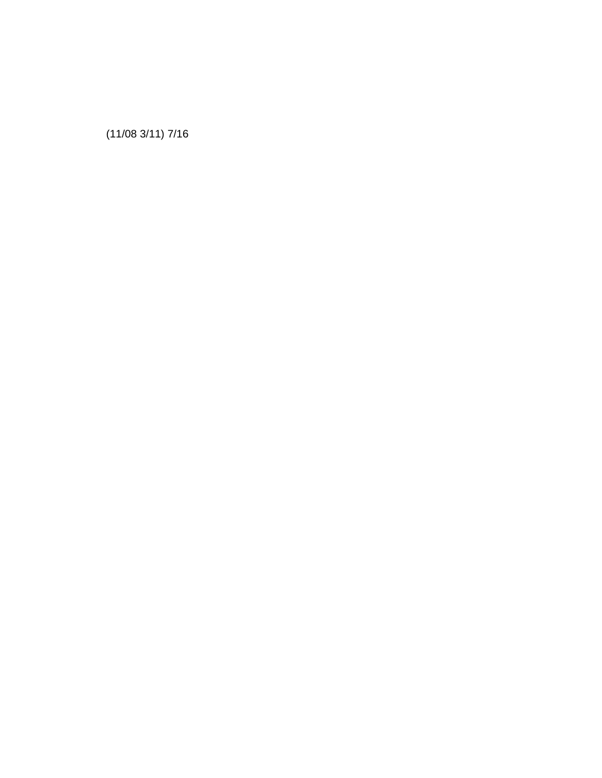(11/08 3/11) 7/16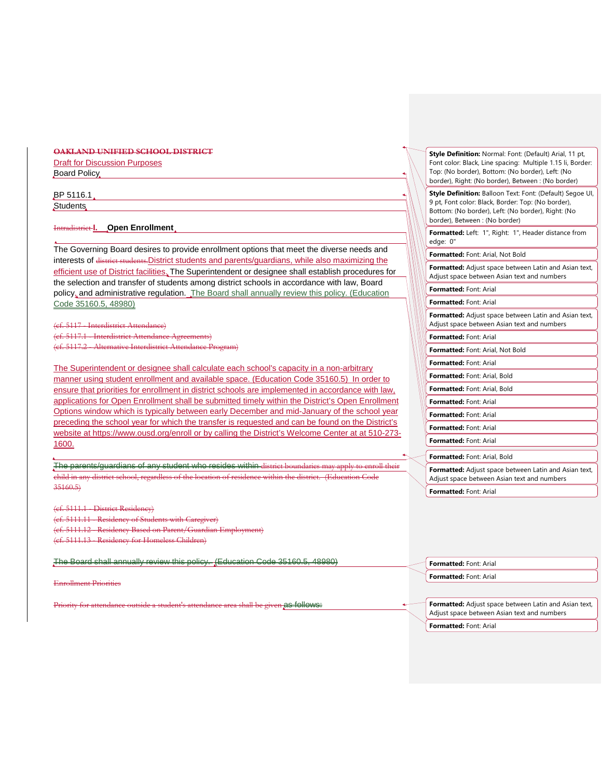### **OAKLAND UNIFIED SCHOOL DISTRICT Draft for Discussion Purposes** Board Policy

BP 5116.1 Students

Intradistrict **I. Open Enrollment**

The Governing Board desires to provide enrollment options that meet the diverse needs and interests of district students. District students and parents/guardians, while also maximizing the efficient use of District facilities. The Superintendent or designee shall establish procedures for the selection and transfer of students among district schools in accordance with law, Board policy, and administrative regulation. The Board shall annually review this policy. (Education Code 35160.5, 48980)

(cf. 5117 - Interdistrict Attendance) (cf. 5117.1 - Interdistrict Attendance (cf. 5117.2 - Alternative Interdistrict Attendance Program)

The Superintendent or designee shall calculate each school's capacity in a non-arbitrary manner using student enrollment and available space. (Education Code 35160.5) In order to ensure that priorities for enrollment in district schools are implemented in accordance with law, applications for Open Enrollment shall be submitted timely within the District's Open Enrollment Options window which is typically between early December and mid-January of the school year preceding the school year for which the transfer is requested and can be found on the District's website at<https://www.ousd.org/enroll> or by calling the District's Welcome Center at at 510-273- 1600.

The parents/guardians of any student who resides within district boundaries may apply to enroll their child in any district school, regardless of the location of residence within the district. (Education Code  $35160.5$ 

(cf. 5111.1 - District Residency)

(cf. 5111.11 - Residency of Stude

(cf. 5111.12 - Residency Based on Parent/Guardian Employment)

(cf. 5111.13 - Residency for Homeless Children)

The Board shall annually review this policy. (Education Code 35160.5, 48980)

Enrollment Priorities

Priority for attendance outside a student's attendance area shall be given as follows:

| Style Definition: Normal: Font: (Default) Arial, 11 pt,<br>Font color: Black, Line spacing: Multiple 1.15 li, Border:<br>Top: (No border), Bottom: (No border), Left: (No<br>border), Right: (No border), Between : (No border) |
|---------------------------------------------------------------------------------------------------------------------------------------------------------------------------------------------------------------------------------|
| Style Definition: Balloon Text: Font: (Default) Segoe UI,<br>9 pt, Font color: Black, Border: Top: (No border),<br>Bottom: (No border), Left: (No border), Right: (No<br>border), Between : (No border)                         |
| Formatted: Left: 1", Right: 1", Header distance from<br>edge: 0"                                                                                                                                                                |
| Formatted: Font: Arial, Not Bold                                                                                                                                                                                                |
| Formatted: Adjust space between Latin and Asian text,<br>Adjust space between Asian text and numbers                                                                                                                            |
| Formatted: Font: Arial                                                                                                                                                                                                          |
| Formatted: Font: Arial                                                                                                                                                                                                          |
| Formatted: Adjust space between Latin and Asian text,<br>Adjust space between Asian text and numbers                                                                                                                            |
| Formatted: Font: Arial                                                                                                                                                                                                          |
| <b>Formatted: Font: Arial, Not Bold</b>                                                                                                                                                                                         |
| Formatted: Font: Arial                                                                                                                                                                                                          |
| <b>Formatted:</b> Font: Arial. Bold                                                                                                                                                                                             |
| <b>Formatted:</b> Font: Arial. Bold                                                                                                                                                                                             |
| Formatted: Font: Arial                                                                                                                                                                                                          |
| Formatted: Font: Arial                                                                                                                                                                                                          |
| Formatted: Font: Arial                                                                                                                                                                                                          |
| Formatted: Font: Arial                                                                                                                                                                                                          |
| <b>Formatted:</b> Font: Arial, Bold                                                                                                                                                                                             |
| Formatted: Adjust space between Latin and Asian text,<br>Adjust space between Asian text and numbers                                                                                                                            |
| Formatted: Font: Arial                                                                                                                                                                                                          |
|                                                                                                                                                                                                                                 |

**Formatted:** Font: Arial **Formatted:** Font: Arial

**Formatted:** Adjust space between Latin and Asian text, Adjust space between Asian text and numbers **Formatted:** Font: Arial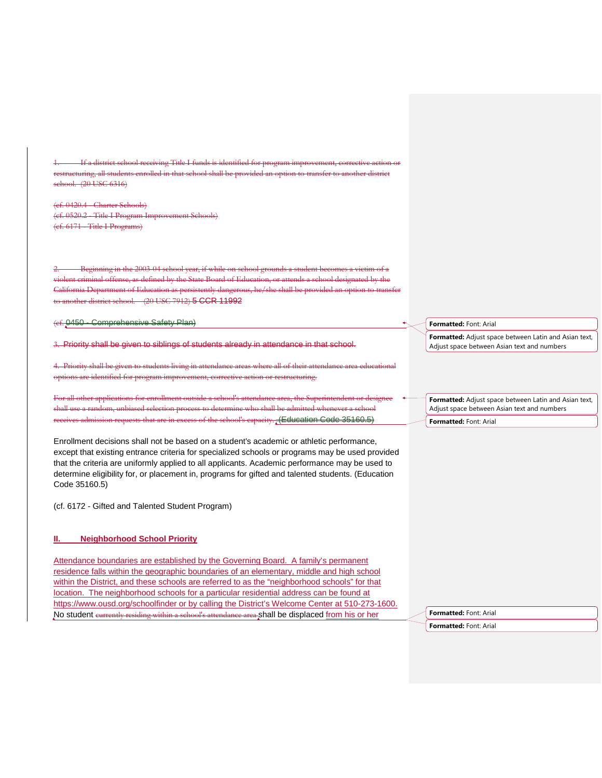1. If a district school receiving Title I funds is identified for program improvement, corrective action or returing, all students enrolled in that school shall be provided an option to transfer to another district school. (20 USC 6316)

(cf. 0420.4 - Charter Schools) (ef. 0520.2 - Title I Program Im (cf. 6171 - Title I Programs)

2. Beginning in the 2003-04 school year, if while on school grounds a student becomes a victim of a nt criminal offense, as defined by the State Board of Education, or attends a school designated by the  $\overline{\text{a}$  Department of Education as persistently dangerous, he/she shall be provided an district school. (20 USC 7912) 5 CCR 11992

(cf. 0450 - Comprehensive Safety Plan)

3. Priority shall be given to siblings of students already in attendance in that school.

Hiving in attendance areas options are identified for program improvement, corrective action or restructuring.

For all other applications for enrollment outside a school's attendance area, the Superintendent or designee shall use a random, unbiased selection process to determine who shall be admitted whenever a school of the school's capacity. (Education Code 35160.5)

Enrollment decisions shall not be based on a student's academic or athletic performance, except that existing entrance criteria for specialized schools or programs may be used provided that the criteria are uniformly applied to all applicants. Academic performance may be used to determine eligibility for, or placement in, programs for gifted and talented students. (Education Code 35160.5)

(cf. 6172 - Gifted and Talented Student Program)

#### **II. Neighborhood School Priority**

Attendance boundaries are established by the Governing Board. A family's permanent residence falls within the geographic boundaries of an elementary, middle and high school within the District, and these schools are referred to as the "neighborhood schools" for that location. The neighborhood schools for a particular residential address can be found at https://www.ousd.org/schoolfinder or by calling the District's Welcome Center at 510-273-1600. No student currently residing within a school's attendance area shall be displaced from his or her

**Formatted:** Font: Arial

**Formatted:** Adjust space between Latin and Asian text, Adjust space between Asian text and numbers

**Formatted:** Adjust space between Latin and Asian text, Adjust space between Asian text and numbers

**Formatted:** Font: Arial

**Formatted:** Font: Arial **Formatted:** Font: Arial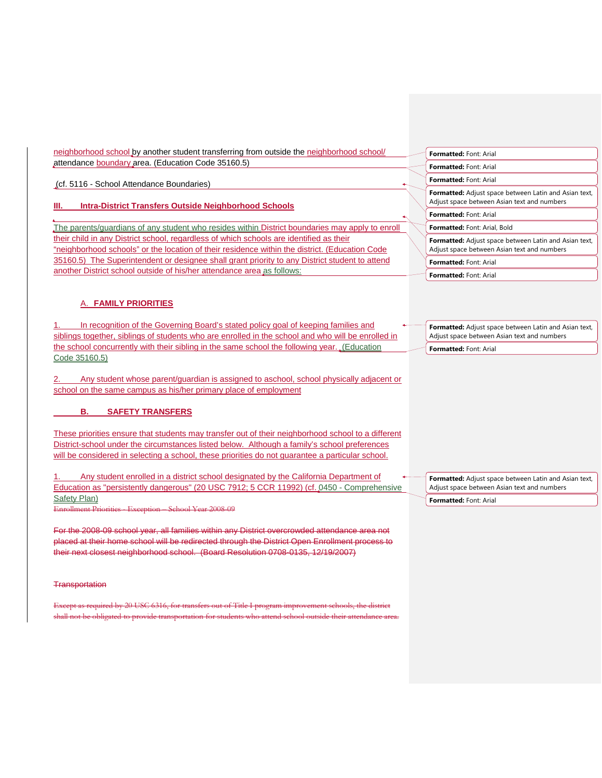| neighborhood school by another student transferring from outside the neighborhood school/                                                                                                                                                                                                                                                                                                                                                                                                                                                                                                                       | Formatted: Font: Arial                                                                               |
|-----------------------------------------------------------------------------------------------------------------------------------------------------------------------------------------------------------------------------------------------------------------------------------------------------------------------------------------------------------------------------------------------------------------------------------------------------------------------------------------------------------------------------------------------------------------------------------------------------------------|------------------------------------------------------------------------------------------------------|
| attendance boundary area. (Education Code 35160.5)                                                                                                                                                                                                                                                                                                                                                                                                                                                                                                                                                              | Formatted: Font: Arial                                                                               |
| (cf. 5116 - School Attendance Boundaries)                                                                                                                                                                                                                                                                                                                                                                                                                                                                                                                                                                       | Formatted: Font: Arial                                                                               |
| <b>Intra-District Transfers Outside Neighborhood Schools</b><br>Ш.                                                                                                                                                                                                                                                                                                                                                                                                                                                                                                                                              | Formatted: Adjust space between Latin and Asian text,<br>Adjust space between Asian text and numbers |
|                                                                                                                                                                                                                                                                                                                                                                                                                                                                                                                                                                                                                 | Formatted: Font: Arial                                                                               |
| The parents/guardians of any student who resides within District boundaries may apply to enroll                                                                                                                                                                                                                                                                                                                                                                                                                                                                                                                 | Formatted: Font: Arial, Bold                                                                         |
| their child in any District school, regardless of which schools are identified as their<br>"neighborhood schools" or the location of their residence within the district. (Education Code                                                                                                                                                                                                                                                                                                                                                                                                                       | Formatted: Adjust space between Latin and Asian text,<br>Adjust space between Asian text and numbers |
| 35160.5) The Superintendent or designee shall grant priority to any District student to attend                                                                                                                                                                                                                                                                                                                                                                                                                                                                                                                  | <b>Formatted: Font: Arial</b>                                                                        |
| another District school outside of his/her attendance area as follows:                                                                                                                                                                                                                                                                                                                                                                                                                                                                                                                                          | Formatted: Font: Arial                                                                               |
| A. FAMILY PRIORITIES<br>In recognition of the Governing Board's stated policy goal of keeping families and                                                                                                                                                                                                                                                                                                                                                                                                                                                                                                      | Formatted: Adjust space between Latin and Asian text,                                                |
| siblings together, siblings of students who are enrolled in the school and who will be enrolled in                                                                                                                                                                                                                                                                                                                                                                                                                                                                                                              | Adjust space between Asian text and numbers                                                          |
| the school concurrently with their sibling in the same school the following year(Education                                                                                                                                                                                                                                                                                                                                                                                                                                                                                                                      | Formatted: Font: Arial                                                                               |
| Code 35160.5)<br>Any student whose parent/guardian is assigned to aschool, school physically adjacent or<br>school on the same campus as his/her primary place of employment<br>В.<br><b>SAFETY TRANSFERS</b><br>These priorities ensure that students may transfer out of their neighborhood school to a different<br>District-school under the circumstances listed below. Although a family's school preferences<br>will be considered in selecting a school, these priorities do not guarantee a particular school.<br>Any student enrolled in a district school designated by the California Department of | Formatted: Adjust space between Latin and Asian text,                                                |
| Education as "persistently dangerous" (20 USC 7912; 5 CCR 11992) (cf. 0450 - Comprehensive<br><b>Safety Plan)</b>                                                                                                                                                                                                                                                                                                                                                                                                                                                                                               | Adjust space between Asian text and numbers                                                          |
| Enrollment Priorities - Exception - School Year 2008-09                                                                                                                                                                                                                                                                                                                                                                                                                                                                                                                                                         | Formatted: Font: Arial                                                                               |
| For the 2008-09 school year, all families within any District overcrowded attendance area not<br>placed at their home school will be redirected through the District Open Enrollment process to<br>their next closest neighborhood school. (Board Resolution 0708-0135, 12/19/2007)                                                                                                                                                                                                                                                                                                                             |                                                                                                      |
| <b>Transportation</b>                                                                                                                                                                                                                                                                                                                                                                                                                                                                                                                                                                                           |                                                                                                      |
| Except as required by 20 USC 6316, for transfers out of Title I program improvement schools, the district<br>shall not be obligated to provide transportation for students who attend school outside their attendance area.                                                                                                                                                                                                                                                                                                                                                                                     |                                                                                                      |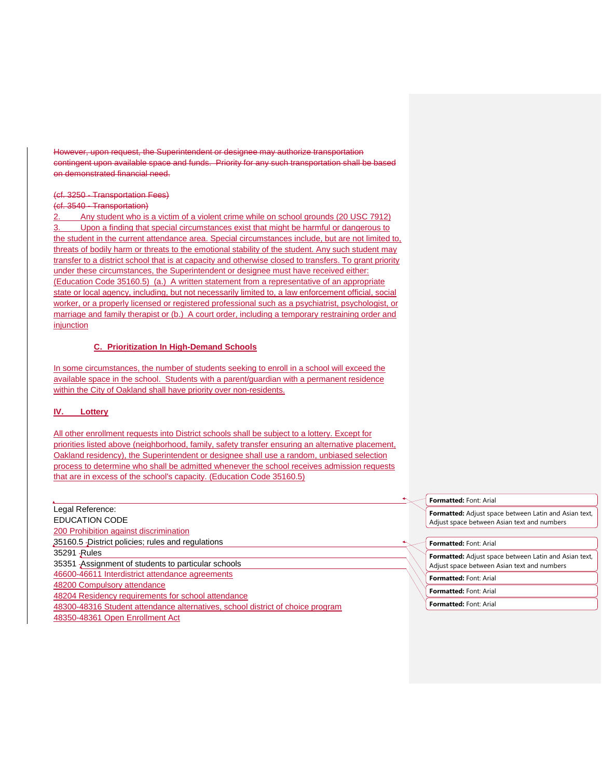However, upon request, the Superintendent or designee may authorize transportation contingent upon available space and funds. Priority for any such transportation shall be based on demonstrated financial need.

### (cf. 3250 - Transportation Fees)

### (cf. 3540 - Transportation)

2. Any student who is a victim of a violent crime while on school grounds (20 USC 7912) Upon a finding that special circumstances exist that might be harmful or dangerous to the student in the current attendance area. Special circumstances include, but are not limited to, threats of bodily harm or threats to the emotional stability of the student. Any such student may transfer to a district school that is at capacity and otherwise closed to transfers. To grant priority under these circumstances, the Superintendent or designee must have received either: (Education Code 35160.5) (a.) A written statement from a representative of an appropriate state or local agency, including, but not necessarily limited to, a law enforcement official, social worker, or a properly licensed or registered professional such as a psychiatrist, psychologist, or marriage and family therapist or (b.) A court order, including a temporary restraining order and injunction

#### **C. Prioritization In High-Demand Schools**

In some circumstances, the number of students seeking to enroll in a school will exceed the available space in the school. Students with a parent/guardian with a permanent residence within the City of Oakland shall have priority over non-residents.

#### **IV. Lottery**

All other enrollment requests into District schools shall be subject to a lottery. Except for priorities listed above (neighborhood, family, safety transfer ensuring an alternative placement, Oakland residency), the Superintendent or designee shall use a random, unbiased selection process to determine who shall be admitted whenever the school receives admission requests that are in excess of the school's capacity. (Education Code 35160.5)

Legal Reference: EDUCATION CODE 200 Prohibition against discrimination 35160.5 District policies; rules and regulations 35291 -Rules 35351 Assignment of students to particular schools 46600-46611 Interdistrict attendance agreements 48200 Compulsory attendance 48204 Residency requirements for school attendance 48300-48316 Student attendance alternatives, school district of choice program 48350-48361 Open Enrollment Act

**Formatted:** Font: Arial

**Formatted:** Adjust space between Latin and Asian text, Adjust space between Asian text and numbers

**Formatted:** Font: Arial

**Formatted:** Adjust space between Latin and Asian text, Adjust space between Asian text and numbers

**Formatted:** Font: Arial

**Formatted:** Font: Arial

**Formatted:** Font: Arial